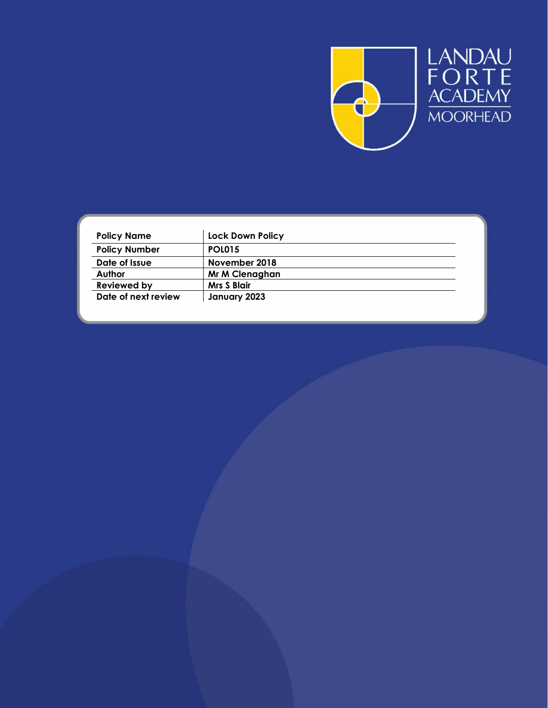

| <b>Policy Name</b>   | <b>Lock Down Policy</b> |  |
|----------------------|-------------------------|--|
| <b>Policy Number</b> | <b>POL015</b>           |  |
| Date of Issue        | November 2018           |  |
| Author               | Mr M Clenaghan          |  |
| Reviewed by          | <b>Mrs S Blair</b>      |  |
| Date of next review  | January 2023            |  |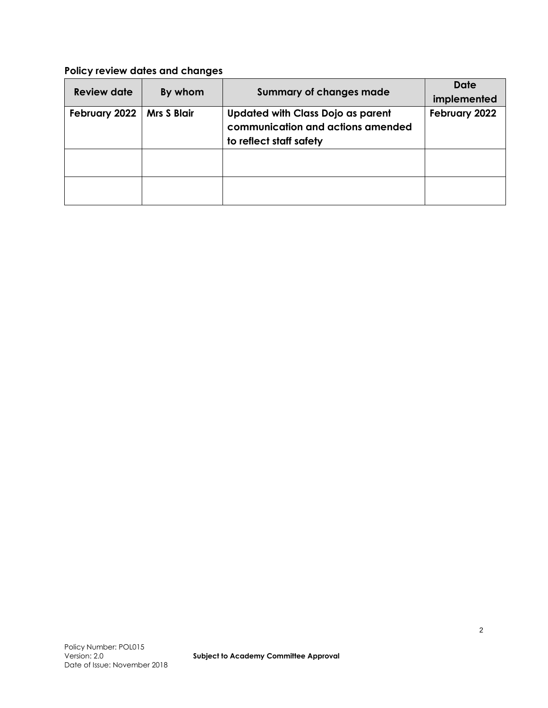# **Policy review dates and changes**

| <b>Review date</b> | By whom            | <b>Summary of changes made</b>                                                                           | <b>Date</b><br>implemented |
|--------------------|--------------------|----------------------------------------------------------------------------------------------------------|----------------------------|
| February 2022      | <b>Mrs S Blair</b> | <b>Updated with Class Dojo as parent</b><br>communication and actions amended<br>to reflect staff safety | February 2022              |
|                    |                    |                                                                                                          |                            |
|                    |                    |                                                                                                          |                            |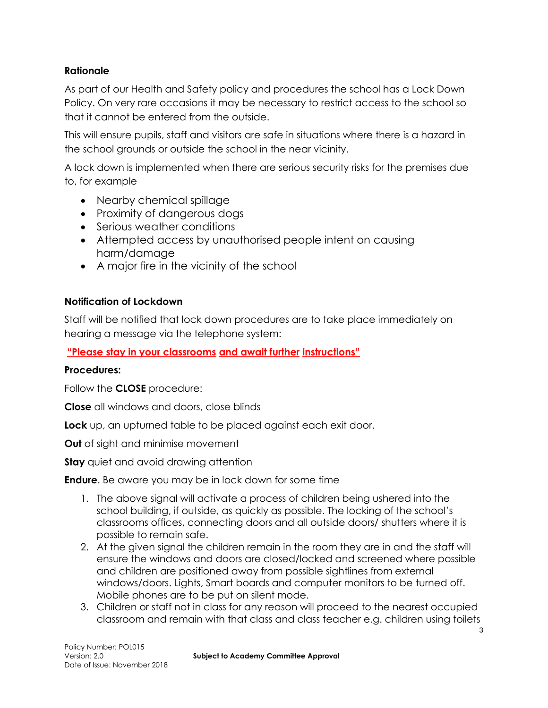# **Rationale**

As part of our Health and Safety policy and procedures the school has a Lock Down Policy. On very rare occasions it may be necessary to restrict access to the school so that it cannot be entered from the outside.

This will ensure pupils, staff and visitors are safe in situations where there is a hazard in the school grounds or outside the school in the near vicinity.

A lock down is implemented when there are serious security risks for the premises due to, for example

- Nearby chemical spillage
- Proximity of dangerous dogs
- Serious weather conditions
- Attempted access by unauthorised people intent on causing harm/damage
- A major fire in the vicinity of the school

#### **Notification of Lockdown**

Staff will be notified that lock down procedures are to take place immediately on hearing a message via the telephone system:

## **"Please stay in your classrooms and await further instructions"**

#### **Procedures:**

Follow the **CLOSE** procedure:

**Close** all windows and doors, close blinds

**Lock** up, an upturned table to be placed against each exit door.

**Out** of sight and minimise movement

**Stay** quiet and avoid drawing attention

**Endure**. Be aware you may be in lock down for some time

- 1. The above signal will activate a process of children being ushered into the school building, if outside, as quickly as possible. The locking of the school's classrooms offices, connecting doors and all outside doors/ shutters where it is possible to remain safe.
- 2. At the given signal the children remain in the room they are in and the staff will ensure the windows and doors are closed/locked and screened where possible and children are positioned away from possible sightlines from external windows/doors. Lights, Smart boards and computer monitors to be turned off. Mobile phones are to be put on silent mode.
- 3. Children or staff not in class for any reason will proceed to the nearest occupied classroom and remain with that class and class teacher e.g. children using toilets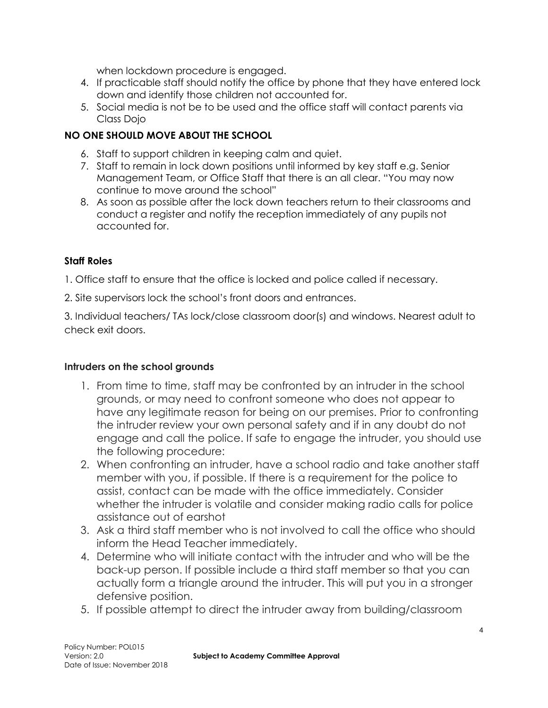when lockdown procedure is engaged.

- 4. If practicable staff should notify the office by phone that they have entered lock down and identify those children not accounted for.
- 5. Social media is not be to be used and the office staff will contact parents via Class Dojo

# **NO ONE SHOULD MOVE ABOUT THE SCHOOL**

- 6. Staff to support children in keeping calm and quiet.
- 7. Staff to remain in lock down positions until informed by key staff e.g. Senior Management Team, or Office Staff that there is an all clear. "You may now continue to move around the school"
- 8. As soon as possible after the lock down teachers return to their classrooms and conduct a register and notify the reception immediately of any pupils not accounted for.

#### **Staff Roles**

1. Office staff to ensure that the office is locked and police called if necessary.

2. Site supervisors lock the school's front doors and entrances.

3. Individual teachers/ TAs lock/close classroom door(s) and windows. Nearest adult to check exit doors.

#### **Intruders on the school grounds**

- 1. From time to time, staff may be confronted by an intruder in the school grounds, or may need to confront someone who does not appear to have any legitimate reason for being on our premises. Prior to confronting the intruder review your own personal safety and if in any doubt do not engage and call the police. If safe to engage the intruder, you should use the following procedure:
- 2. When confronting an intruder, have a school radio and take another staff member with you, if possible. If there is a requirement for the police to assist, contact can be made with the office immediately. Consider whether the intruder is volatile and consider making radio calls for police assistance out of earshot
- 3. Ask a third staff member who is not involved to call the office who should inform the Head Teacher immediately.
- 4. Determine who will initiate contact with the intruder and who will be the back-up person. If possible include a third staff member so that you can actually form a triangle around the intruder. This will put you in a stronger defensive position.
- 5. If possible attempt to direct the intruder away from building/classroom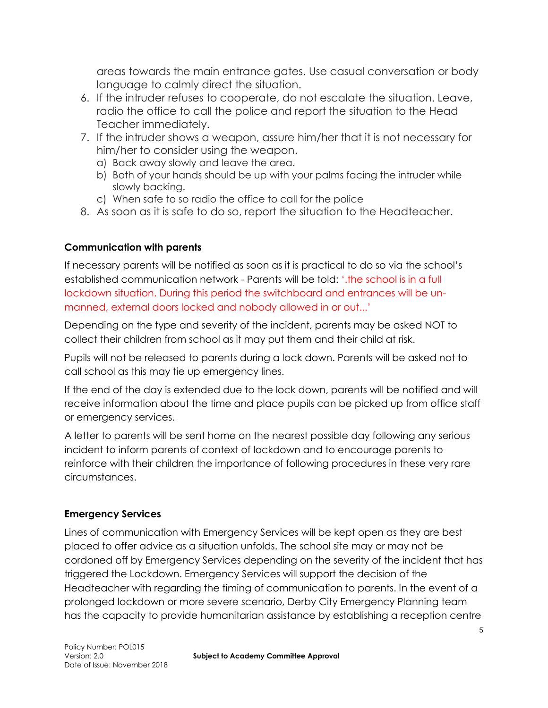areas towards the main entrance gates. Use casual conversation or body language to calmly direct the situation.

- 6. If the intruder refuses to cooperate, do not escalate the situation. Leave, radio the office to call the police and report the situation to the Head Teacher immediately.
- 7. If the intruder shows a weapon, assure him/her that it is not necessary for him/her to consider using the weapon.
	- a) Back away slowly and leave the area.
	- b) Both of your hands should be up with your palms facing the intruder while slowly backing.
	- c) When safe to so radio the office to call for the police
- 8. As soon as it is safe to do so, report the situation to the Headteacher.

# **Communication with parents**

If necessary parents will be notified as soon as it is practical to do so via the school's established communication network - Parents will be told: '.the school is in a full lockdown situation. During this period the switchboard and entrances will be unmanned, external doors locked and nobody allowed in or out...'

Depending on the type and severity of the incident, parents may be asked NOT to collect their children from school as it may put them and their child at risk.

Pupils will not be released to parents during a lock down. Parents will be asked not to call school as this may tie up emergency lines.

If the end of the day is extended due to the lock down, parents will be notified and will receive information about the time and place pupils can be picked up from office staff or emergency services.

A letter to parents will be sent home on the nearest possible day following any serious incident to inform parents of context of lockdown and to encourage parents to reinforce with their children the importance of following procedures in these very rare circumstances.

# **Emergency Services**

Lines of communication with Emergency Services will be kept open as they are best placed to offer advice as a situation unfolds. The school site may or may not be cordoned off by Emergency Services depending on the severity of the incident that has triggered the Lockdown. Emergency Services will support the decision of the Headteacher with regarding the timing of communication to parents. In the event of a prolonged lockdown or more severe scenario, Derby City Emergency Planning team has the capacity to provide humanitarian assistance by establishing a reception centre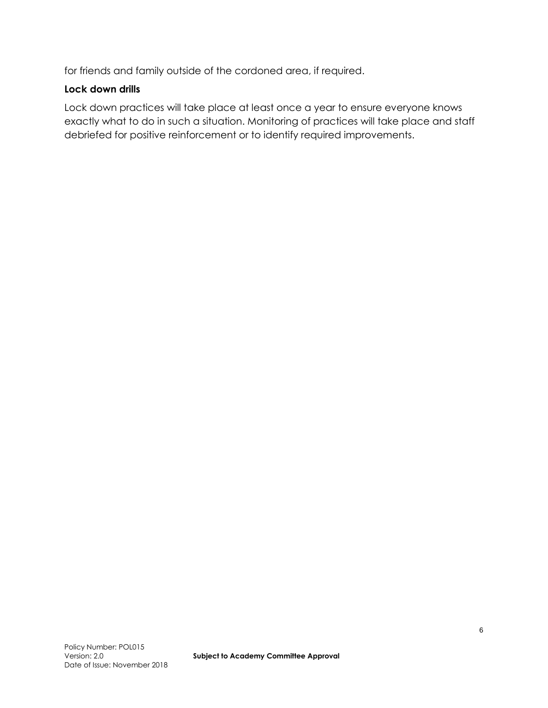for friends and family outside of the cordoned area, if required.

#### **Lock down drills**

Lock down practices will take place at least once a year to ensure everyone knows exactly what to do in such a situation. Monitoring of practices will take place and staff debriefed for positive reinforcement or to identify required improvements.